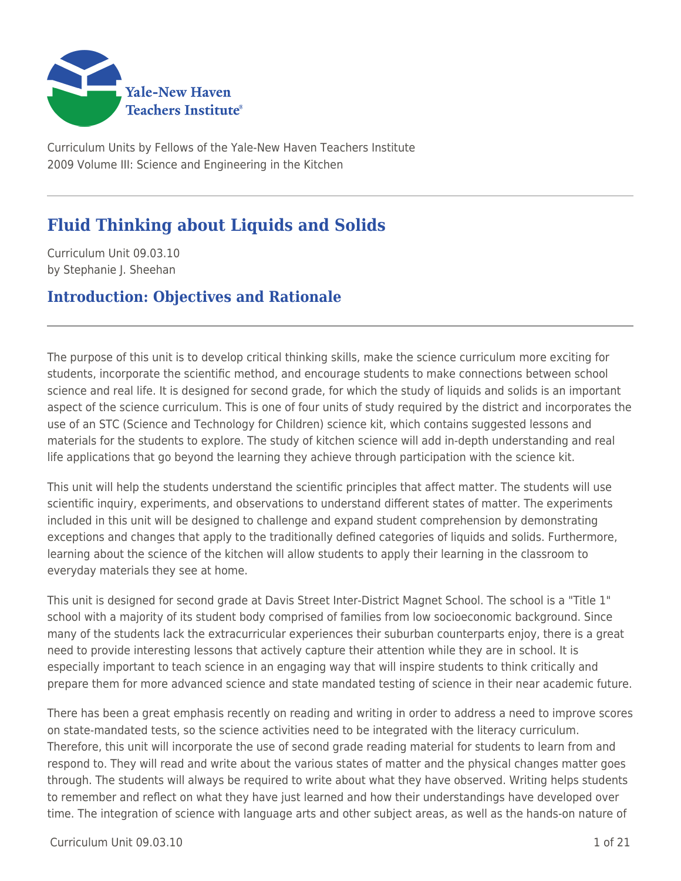

Curriculum Units by Fellows of the Yale-New Haven Teachers Institute 2009 Volume III: Science and Engineering in the Kitchen

# **Fluid Thinking about Liquids and Solids**

Curriculum Unit 09.03.10 by Stephanie J. Sheehan

### **Introduction: Objectives and Rationale**

The purpose of this unit is to develop critical thinking skills, make the science curriculum more exciting for students, incorporate the scientific method, and encourage students to make connections between school science and real life. It is designed for second grade, for which the study of liquids and solids is an important aspect of the science curriculum. This is one of four units of study required by the district and incorporates the use of an STC (Science and Technology for Children) science kit, which contains suggested lessons and materials for the students to explore. The study of kitchen science will add in-depth understanding and real life applications that go beyond the learning they achieve through participation with the science kit.

This unit will help the students understand the scientific principles that affect matter. The students will use scientific inquiry, experiments, and observations to understand different states of matter. The experiments included in this unit will be designed to challenge and expand student comprehension by demonstrating exceptions and changes that apply to the traditionally defined categories of liquids and solids. Furthermore, learning about the science of the kitchen will allow students to apply their learning in the classroom to everyday materials they see at home.

This unit is designed for second grade at Davis Street Inter-District Magnet School. The school is a "Title 1" school with a majority of its student body comprised of families from low socioeconomic background. Since many of the students lack the extracurricular experiences their suburban counterparts enjoy, there is a great need to provide interesting lessons that actively capture their attention while they are in school. It is especially important to teach science in an engaging way that will inspire students to think critically and prepare them for more advanced science and state mandated testing of science in their near academic future.

There has been a great emphasis recently on reading and writing in order to address a need to improve scores on state-mandated tests, so the science activities need to be integrated with the literacy curriculum. Therefore, this unit will incorporate the use of second grade reading material for students to learn from and respond to. They will read and write about the various states of matter and the physical changes matter goes through. The students will always be required to write about what they have observed. Writing helps students to remember and reflect on what they have just learned and how their understandings have developed over time. The integration of science with language arts and other subject areas, as well as the hands-on nature of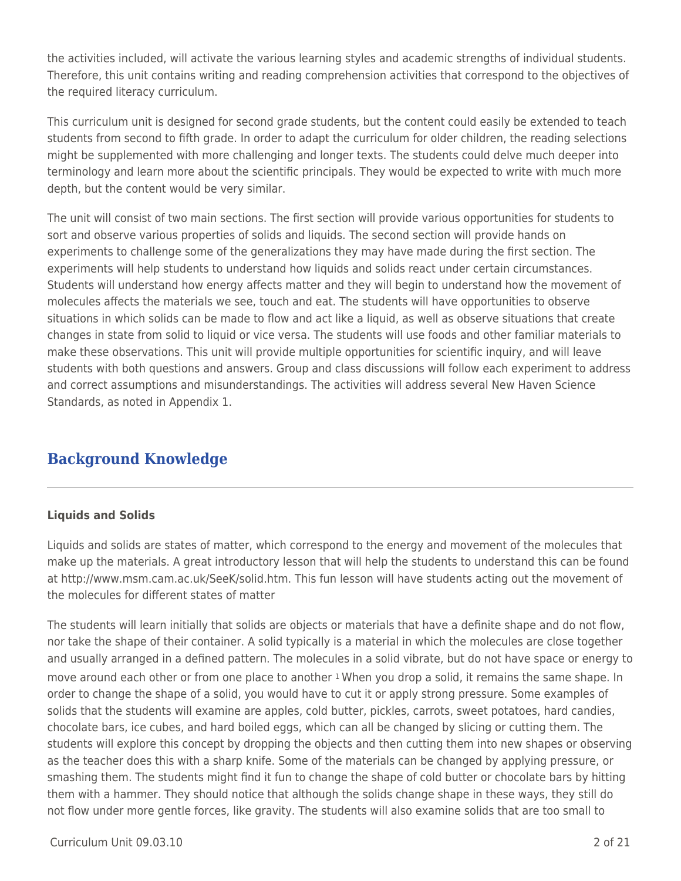the activities included, will activate the various learning styles and academic strengths of individual students. Therefore, this unit contains writing and reading comprehension activities that correspond to the objectives of the required literacy curriculum.

This curriculum unit is designed for second grade students, but the content could easily be extended to teach students from second to fifth grade. In order to adapt the curriculum for older children, the reading selections might be supplemented with more challenging and longer texts. The students could delve much deeper into terminology and learn more about the scientific principals. They would be expected to write with much more depth, but the content would be very similar.

The unit will consist of two main sections. The first section will provide various opportunities for students to sort and observe various properties of solids and liquids. The second section will provide hands on experiments to challenge some of the generalizations they may have made during the first section. The experiments will help students to understand how liquids and solids react under certain circumstances. Students will understand how energy affects matter and they will begin to understand how the movement of molecules affects the materials we see, touch and eat. The students will have opportunities to observe situations in which solids can be made to flow and act like a liquid, as well as observe situations that create changes in state from solid to liquid or vice versa. The students will use foods and other familiar materials to make these observations. This unit will provide multiple opportunities for scientific inquiry, and will leave students with both questions and answers. Group and class discussions will follow each experiment to address and correct assumptions and misunderstandings. The activities will address several New Haven Science Standards, as noted in Appendix 1.

# **Background Knowledge**

### **Liquids and Solids**

Liquids and solids are states of matter, which correspond to the energy and movement of the molecules that make up the materials. A great introductory lesson that will help the students to understand this can be found at http://www.msm.cam.ac.uk/SeeK/solid.htm. This fun lesson will have students acting out the movement of the molecules for different states of matter

The students will learn initially that solids are objects or materials that have a definite shape and do not flow, nor take the shape of their container. A solid typically is a material in which the molecules are close together and usually arranged in a defined pattern. The molecules in a solid vibrate, but do not have space or energy to move around each other or from one place to another 1 When you drop a solid, it remains the same shape. In order to change the shape of a solid, you would have to cut it or apply strong pressure. Some examples of solids that the students will examine are apples, cold butter, pickles, carrots, sweet potatoes, hard candies, chocolate bars, ice cubes, and hard boiled eggs, which can all be changed by slicing or cutting them. The students will explore this concept by dropping the objects and then cutting them into new shapes or observing as the teacher does this with a sharp knife. Some of the materials can be changed by applying pressure, or smashing them. The students might find it fun to change the shape of cold butter or chocolate bars by hitting them with a hammer. They should notice that although the solids change shape in these ways, they still do not flow under more gentle forces, like gravity. The students will also examine solids that are too small to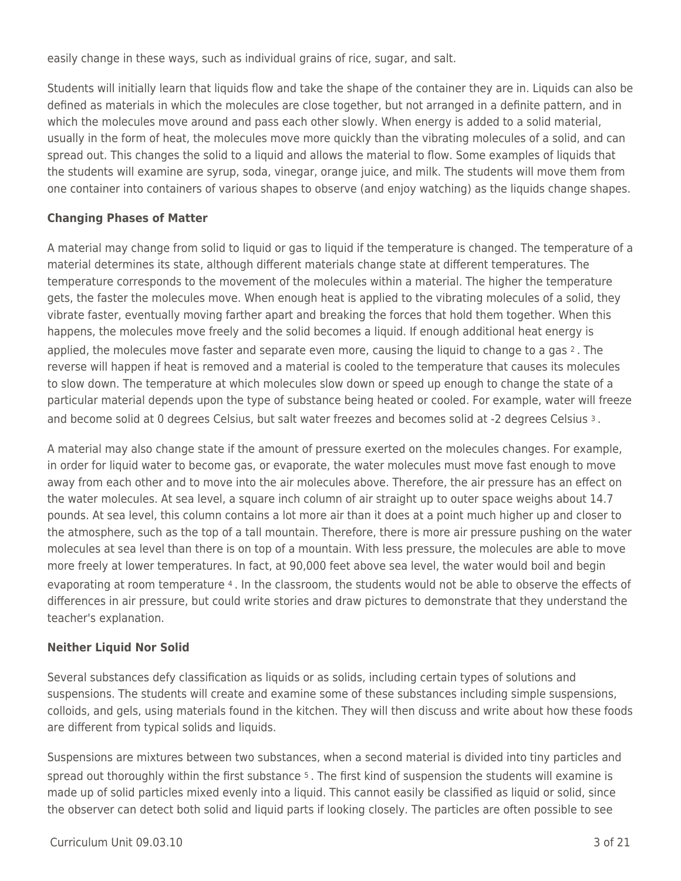easily change in these ways, such as individual grains of rice, sugar, and salt.

Students will initially learn that liquids flow and take the shape of the container they are in. Liquids can also be defined as materials in which the molecules are close together, but not arranged in a definite pattern, and in which the molecules move around and pass each other slowly. When energy is added to a solid material, usually in the form of heat, the molecules move more quickly than the vibrating molecules of a solid, and can spread out. This changes the solid to a liquid and allows the material to flow. Some examples of liquids that the students will examine are syrup, soda, vinegar, orange juice, and milk. The students will move them from one container into containers of various shapes to observe (and enjoy watching) as the liquids change shapes.

### **Changing Phases of Matter**

A material may change from solid to liquid or gas to liquid if the temperature is changed. The temperature of a material determines its state, although different materials change state at different temperatures. The temperature corresponds to the movement of the molecules within a material. The higher the temperature gets, the faster the molecules move. When enough heat is applied to the vibrating molecules of a solid, they vibrate faster, eventually moving farther apart and breaking the forces that hold them together. When this happens, the molecules move freely and the solid becomes a liquid. If enough additional heat energy is applied, the molecules move faster and separate even more, causing the liquid to change to a gas  $2$ . The reverse will happen if heat is removed and a material is cooled to the temperature that causes its molecules to slow down. The temperature at which molecules slow down or speed up enough to change the state of a particular material depends upon the type of substance being heated or cooled. For example, water will freeze and become solid at 0 degrees Celsius, but salt water freezes and becomes solid at -2 degrees Celsius 3.

A material may also change state if the amount of pressure exerted on the molecules changes. For example, in order for liquid water to become gas, or evaporate, the water molecules must move fast enough to move away from each other and to move into the air molecules above. Therefore, the air pressure has an effect on the water molecules. At sea level, a square inch column of air straight up to outer space weighs about 14.7 pounds. At sea level, this column contains a lot more air than it does at a point much higher up and closer to the atmosphere, such as the top of a tall mountain. Therefore, there is more air pressure pushing on the water molecules at sea level than there is on top of a mountain. With less pressure, the molecules are able to move more freely at lower temperatures. In fact, at 90,000 feet above sea level, the water would boil and begin evaporating at room temperature 4 . In the classroom, the students would not be able to observe the effects of differences in air pressure, but could write stories and draw pictures to demonstrate that they understand the teacher's explanation.

### **Neither Liquid Nor Solid**

Several substances defy classification as liquids or as solids, including certain types of solutions and suspensions. The students will create and examine some of these substances including simple suspensions, colloids, and gels, using materials found in the kitchen. They will then discuss and write about how these foods are different from typical solids and liquids.

Suspensions are mixtures between two substances, when a second material is divided into tiny particles and spread out thoroughly within the first substance <sup>5</sup>. The first kind of suspension the students will examine is made up of solid particles mixed evenly into a liquid. This cannot easily be classified as liquid or solid, since the observer can detect both solid and liquid parts if looking closely. The particles are often possible to see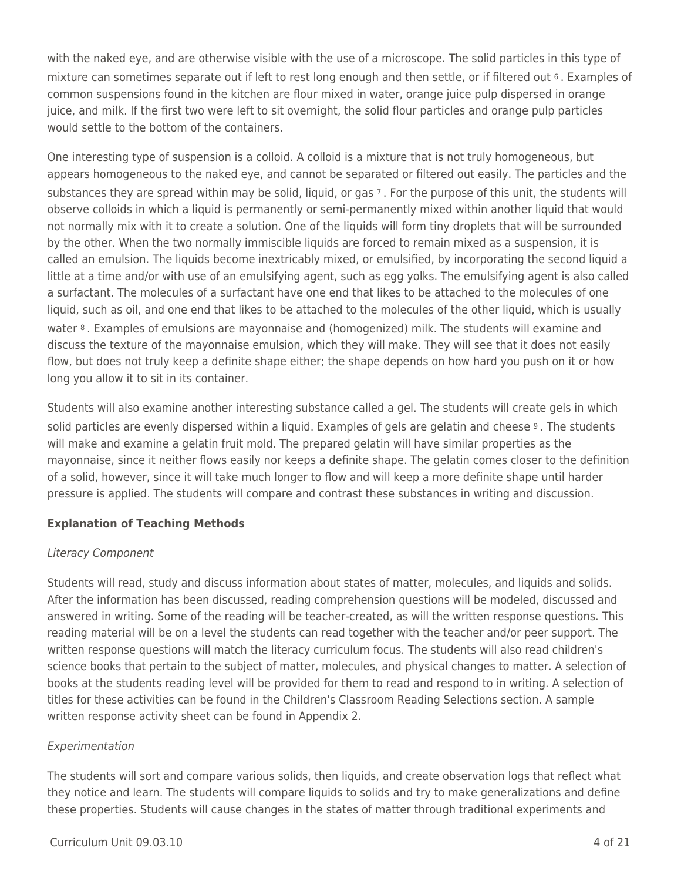with the naked eye, and are otherwise visible with the use of a microscope. The solid particles in this type of mixture can sometimes separate out if left to rest long enough and then settle, or if filtered out 6 . Examples of common suspensions found in the kitchen are flour mixed in water, orange juice pulp dispersed in orange juice, and milk. If the first two were left to sit overnight, the solid flour particles and orange pulp particles would settle to the bottom of the containers.

One interesting type of suspension is a colloid. A colloid is a mixture that is not truly homogeneous, but appears homogeneous to the naked eye, and cannot be separated or filtered out easily. The particles and the substances they are spread within may be solid, liquid, or gas 7 . For the purpose of this unit, the students will observe colloids in which a liquid is permanently or semi-permanently mixed within another liquid that would not normally mix with it to create a solution. One of the liquids will form tiny droplets that will be surrounded by the other. When the two normally immiscible liquids are forced to remain mixed as a suspension, it is called an emulsion. The liquids become inextricably mixed, or emulsified, by incorporating the second liquid a little at a time and/or with use of an emulsifying agent, such as egg yolks. The emulsifying agent is also called a surfactant. The molecules of a surfactant have one end that likes to be attached to the molecules of one liquid, such as oil, and one end that likes to be attached to the molecules of the other liquid, which is usually water 8 . Examples of emulsions are mayonnaise and (homogenized) milk. The students will examine and discuss the texture of the mayonnaise emulsion, which they will make. They will see that it does not easily flow, but does not truly keep a definite shape either; the shape depends on how hard you push on it or how long you allow it to sit in its container.

Students will also examine another interesting substance called a gel. The students will create gels in which solid particles are evenly dispersed within a liquid. Examples of gels are gelatin and cheese 9 . The students will make and examine a gelatin fruit mold. The prepared gelatin will have similar properties as the mayonnaise, since it neither flows easily nor keeps a definite shape. The gelatin comes closer to the definition of a solid, however, since it will take much longer to flow and will keep a more definite shape until harder pressure is applied. The students will compare and contrast these substances in writing and discussion.

### **Explanation of Teaching Methods**

### Literacy Component

Students will read, study and discuss information about states of matter, molecules, and liquids and solids. After the information has been discussed, reading comprehension questions will be modeled, discussed and answered in writing. Some of the reading will be teacher-created, as will the written response questions. This reading material will be on a level the students can read together with the teacher and/or peer support. The written response questions will match the literacy curriculum focus. The students will also read children's science books that pertain to the subject of matter, molecules, and physical changes to matter. A selection of books at the students reading level will be provided for them to read and respond to in writing. A selection of titles for these activities can be found in the Children's Classroom Reading Selections section. A sample written response activity sheet can be found in Appendix 2.

### Experimentation

The students will sort and compare various solids, then liquids, and create observation logs that reflect what they notice and learn. The students will compare liquids to solids and try to make generalizations and define these properties. Students will cause changes in the states of matter through traditional experiments and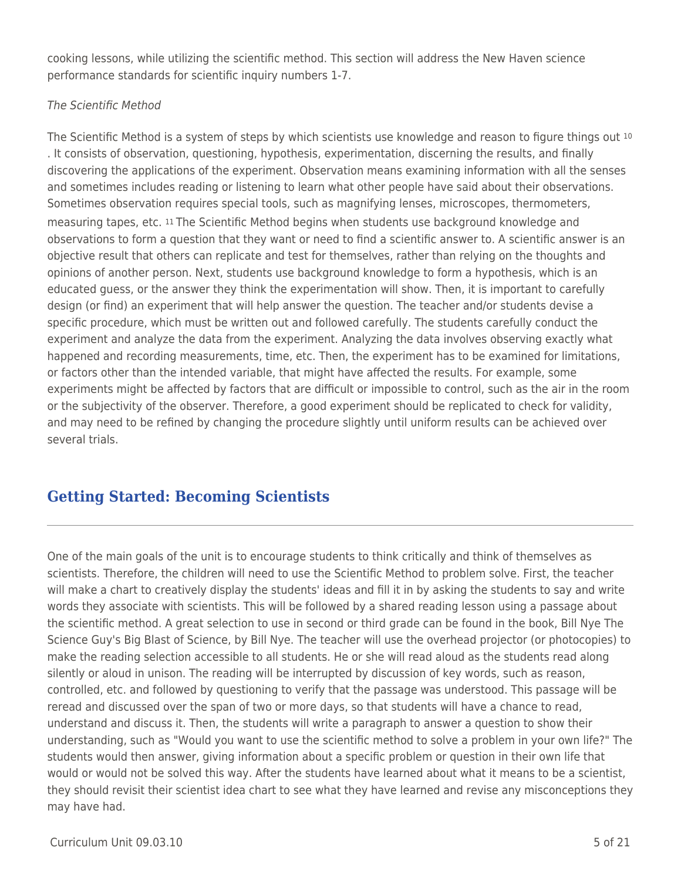cooking lessons, while utilizing the scientific method. This section will address the New Haven science performance standards for scientific inquiry numbers 1-7.

### The Scientific Method

The Scientific Method is a system of steps by which scientists use knowledge and reason to figure things out <sup>10</sup> . It consists of observation, questioning, hypothesis, experimentation, discerning the results, and finally discovering the applications of the experiment. Observation means examining information with all the senses and sometimes includes reading or listening to learn what other people have said about their observations. Sometimes observation requires special tools, such as magnifying lenses, microscopes, thermometers, measuring tapes, etc. 11 The Scientific Method begins when students use background knowledge and observations to form a question that they want or need to find a scientific answer to. A scientific answer is an objective result that others can replicate and test for themselves, rather than relying on the thoughts and opinions of another person. Next, students use background knowledge to form a hypothesis, which is an educated guess, or the answer they think the experimentation will show. Then, it is important to carefully design (or find) an experiment that will help answer the question. The teacher and/or students devise a specific procedure, which must be written out and followed carefully. The students carefully conduct the experiment and analyze the data from the experiment. Analyzing the data involves observing exactly what happened and recording measurements, time, etc. Then, the experiment has to be examined for limitations, or factors other than the intended variable, that might have affected the results. For example, some experiments might be affected by factors that are difficult or impossible to control, such as the air in the room or the subjectivity of the observer. Therefore, a good experiment should be replicated to check for validity, and may need to be refined by changing the procedure slightly until uniform results can be achieved over several trials.

# **Getting Started: Becoming Scientists**

One of the main goals of the unit is to encourage students to think critically and think of themselves as scientists. Therefore, the children will need to use the Scientific Method to problem solve. First, the teacher will make a chart to creatively display the students' ideas and fill it in by asking the students to say and write words they associate with scientists. This will be followed by a shared reading lesson using a passage about the scientific method. A great selection to use in second or third grade can be found in the book, Bill Nye The Science Guy's Big Blast of Science, by Bill Nye. The teacher will use the overhead projector (or photocopies) to make the reading selection accessible to all students. He or she will read aloud as the students read along silently or aloud in unison. The reading will be interrupted by discussion of key words, such as reason, controlled, etc. and followed by questioning to verify that the passage was understood. This passage will be reread and discussed over the span of two or more days, so that students will have a chance to read, understand and discuss it. Then, the students will write a paragraph to answer a question to show their understanding, such as "Would you want to use the scientific method to solve a problem in your own life?" The students would then answer, giving information about a specific problem or question in their own life that would or would not be solved this way. After the students have learned about what it means to be a scientist, they should revisit their scientist idea chart to see what they have learned and revise any misconceptions they may have had.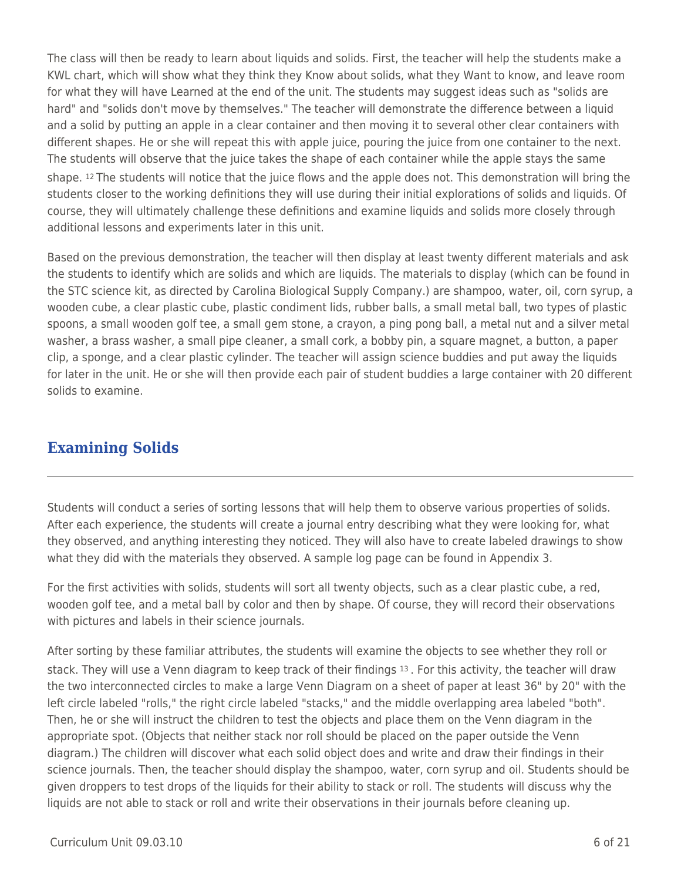The class will then be ready to learn about liquids and solids. First, the teacher will help the students make a KWL chart, which will show what they think they Know about solids, what they Want to know, and leave room for what they will have Learned at the end of the unit. The students may suggest ideas such as "solids are hard" and "solids don't move by themselves." The teacher will demonstrate the difference between a liquid and a solid by putting an apple in a clear container and then moving it to several other clear containers with different shapes. He or she will repeat this with apple juice, pouring the juice from one container to the next. The students will observe that the juice takes the shape of each container while the apple stays the same shape. 12 The students will notice that the juice flows and the apple does not. This demonstration will bring the students closer to the working definitions they will use during their initial explorations of solids and liquids. Of course, they will ultimately challenge these definitions and examine liquids and solids more closely through additional lessons and experiments later in this unit.

Based on the previous demonstration, the teacher will then display at least twenty different materials and ask the students to identify which are solids and which are liquids. The materials to display (which can be found in the STC science kit, as directed by Carolina Biological Supply Company.) are shampoo, water, oil, corn syrup, a wooden cube, a clear plastic cube, plastic condiment lids, rubber balls, a small metal ball, two types of plastic spoons, a small wooden golf tee, a small gem stone, a crayon, a ping pong ball, a metal nut and a silver metal washer, a brass washer, a small pipe cleaner, a small cork, a bobby pin, a square magnet, a button, a paper clip, a sponge, and a clear plastic cylinder. The teacher will assign science buddies and put away the liquids for later in the unit. He or she will then provide each pair of student buddies a large container with 20 different solids to examine.

# **Examining Solids**

Students will conduct a series of sorting lessons that will help them to observe various properties of solids. After each experience, the students will create a journal entry describing what they were looking for, what they observed, and anything interesting they noticed. They will also have to create labeled drawings to show what they did with the materials they observed. A sample log page can be found in Appendix 3.

For the first activities with solids, students will sort all twenty objects, such as a clear plastic cube, a red, wooden golf tee, and a metal ball by color and then by shape. Of course, they will record their observations with pictures and labels in their science journals.

After sorting by these familiar attributes, the students will examine the objects to see whether they roll or stack. They will use a Venn diagram to keep track of their findings 13 . For this activity, the teacher will draw the two interconnected circles to make a large Venn Diagram on a sheet of paper at least 36" by 20" with the left circle labeled "rolls," the right circle labeled "stacks," and the middle overlapping area labeled "both". Then, he or she will instruct the children to test the objects and place them on the Venn diagram in the appropriate spot. (Objects that neither stack nor roll should be placed on the paper outside the Venn diagram.) The children will discover what each solid object does and write and draw their findings in their science journals. Then, the teacher should display the shampoo, water, corn syrup and oil. Students should be given droppers to test drops of the liquids for their ability to stack or roll. The students will discuss why the liquids are not able to stack or roll and write their observations in their journals before cleaning up.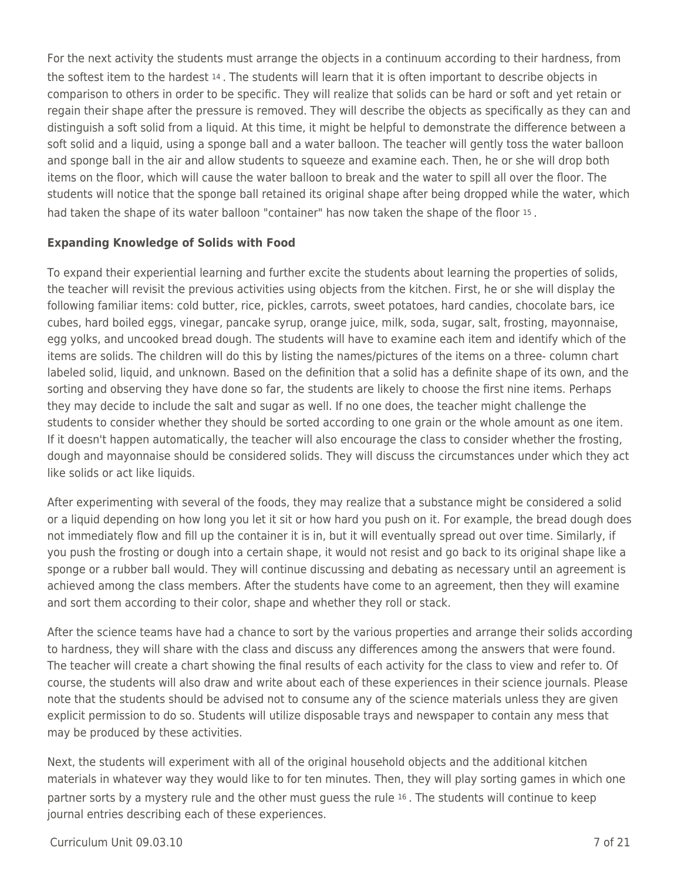For the next activity the students must arrange the objects in a continuum according to their hardness, from the softest item to the hardest 14 . The students will learn that it is often important to describe objects in comparison to others in order to be specific. They will realize that solids can be hard or soft and yet retain or regain their shape after the pressure is removed. They will describe the objects as specifically as they can and distinguish a soft solid from a liquid. At this time, it might be helpful to demonstrate the difference between a soft solid and a liquid, using a sponge ball and a water balloon. The teacher will gently toss the water balloon and sponge ball in the air and allow students to squeeze and examine each. Then, he or she will drop both items on the floor, which will cause the water balloon to break and the water to spill all over the floor. The students will notice that the sponge ball retained its original shape after being dropped while the water, which had taken the shape of its water balloon "container" has now taken the shape of the floor 15.

#### **Expanding Knowledge of Solids with Food**

To expand their experiential learning and further excite the students about learning the properties of solids, the teacher will revisit the previous activities using objects from the kitchen. First, he or she will display the following familiar items: cold butter, rice, pickles, carrots, sweet potatoes, hard candies, chocolate bars, ice cubes, hard boiled eggs, vinegar, pancake syrup, orange juice, milk, soda, sugar, salt, frosting, mayonnaise, egg yolks, and uncooked bread dough. The students will have to examine each item and identify which of the items are solids. The children will do this by listing the names/pictures of the items on a three- column chart labeled solid, liquid, and unknown. Based on the definition that a solid has a definite shape of its own, and the sorting and observing they have done so far, the students are likely to choose the first nine items. Perhaps they may decide to include the salt and sugar as well. If no one does, the teacher might challenge the students to consider whether they should be sorted according to one grain or the whole amount as one item. If it doesn't happen automatically, the teacher will also encourage the class to consider whether the frosting, dough and mayonnaise should be considered solids. They will discuss the circumstances under which they act like solids or act like liquids.

After experimenting with several of the foods, they may realize that a substance might be considered a solid or a liquid depending on how long you let it sit or how hard you push on it. For example, the bread dough does not immediately flow and fill up the container it is in, but it will eventually spread out over time. Similarly, if you push the frosting or dough into a certain shape, it would not resist and go back to its original shape like a sponge or a rubber ball would. They will continue discussing and debating as necessary until an agreement is achieved among the class members. After the students have come to an agreement, then they will examine and sort them according to their color, shape and whether they roll or stack.

After the science teams have had a chance to sort by the various properties and arrange their solids according to hardness, they will share with the class and discuss any differences among the answers that were found. The teacher will create a chart showing the final results of each activity for the class to view and refer to. Of course, the students will also draw and write about each of these experiences in their science journals. Please note that the students should be advised not to consume any of the science materials unless they are given explicit permission to do so. Students will utilize disposable trays and newspaper to contain any mess that may be produced by these activities.

Next, the students will experiment with all of the original household objects and the additional kitchen materials in whatever way they would like to for ten minutes. Then, they will play sorting games in which one partner sorts by a mystery rule and the other must guess the rule 16 . The students will continue to keep journal entries describing each of these experiences.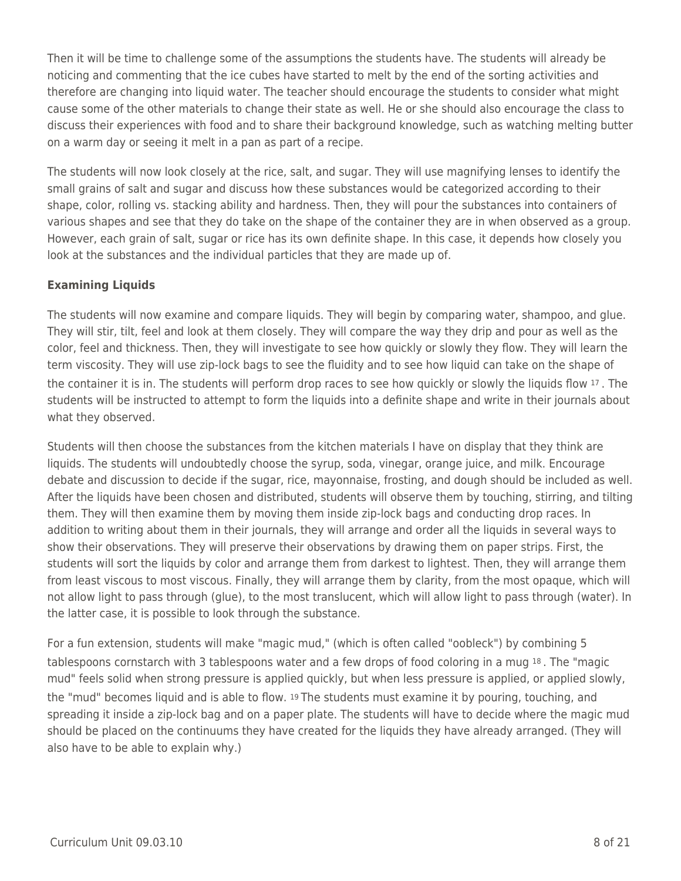Then it will be time to challenge some of the assumptions the students have. The students will already be noticing and commenting that the ice cubes have started to melt by the end of the sorting activities and therefore are changing into liquid water. The teacher should encourage the students to consider what might cause some of the other materials to change their state as well. He or she should also encourage the class to discuss their experiences with food and to share their background knowledge, such as watching melting butter on a warm day or seeing it melt in a pan as part of a recipe.

The students will now look closely at the rice, salt, and sugar. They will use magnifying lenses to identify the small grains of salt and sugar and discuss how these substances would be categorized according to their shape, color, rolling vs. stacking ability and hardness. Then, they will pour the substances into containers of various shapes and see that they do take on the shape of the container they are in when observed as a group. However, each grain of salt, sugar or rice has its own definite shape. In this case, it depends how closely you look at the substances and the individual particles that they are made up of.

### **Examining Liquids**

The students will now examine and compare liquids. They will begin by comparing water, shampoo, and glue. They will stir, tilt, feel and look at them closely. They will compare the way they drip and pour as well as the color, feel and thickness. Then, they will investigate to see how quickly or slowly they flow. They will learn the term viscosity. They will use zip-lock bags to see the fluidity and to see how liquid can take on the shape of the container it is in. The students will perform drop races to see how quickly or slowly the liquids flow 17 . The students will be instructed to attempt to form the liquids into a definite shape and write in their journals about what they observed.

Students will then choose the substances from the kitchen materials I have on display that they think are liquids. The students will undoubtedly choose the syrup, soda, vinegar, orange juice, and milk. Encourage debate and discussion to decide if the sugar, rice, mayonnaise, frosting, and dough should be included as well. After the liquids have been chosen and distributed, students will observe them by touching, stirring, and tilting them. They will then examine them by moving them inside zip-lock bags and conducting drop races. In addition to writing about them in their journals, they will arrange and order all the liquids in several ways to show their observations. They will preserve their observations by drawing them on paper strips. First, the students will sort the liquids by color and arrange them from darkest to lightest. Then, they will arrange them from least viscous to most viscous. Finally, they will arrange them by clarity, from the most opaque, which will not allow light to pass through (glue), to the most translucent, which will allow light to pass through (water). In the latter case, it is possible to look through the substance.

For a fun extension, students will make "magic mud," (which is often called "oobleck") by combining 5 tablespoons cornstarch with 3 tablespoons water and a few drops of food coloring in a mug 18 . The "magic mud" feels solid when strong pressure is applied quickly, but when less pressure is applied, or applied slowly, the "mud" becomes liquid and is able to flow. 19 The students must examine it by pouring, touching, and spreading it inside a zip-lock bag and on a paper plate. The students will have to decide where the magic mud should be placed on the continuums they have created for the liquids they have already arranged. (They will also have to be able to explain why.)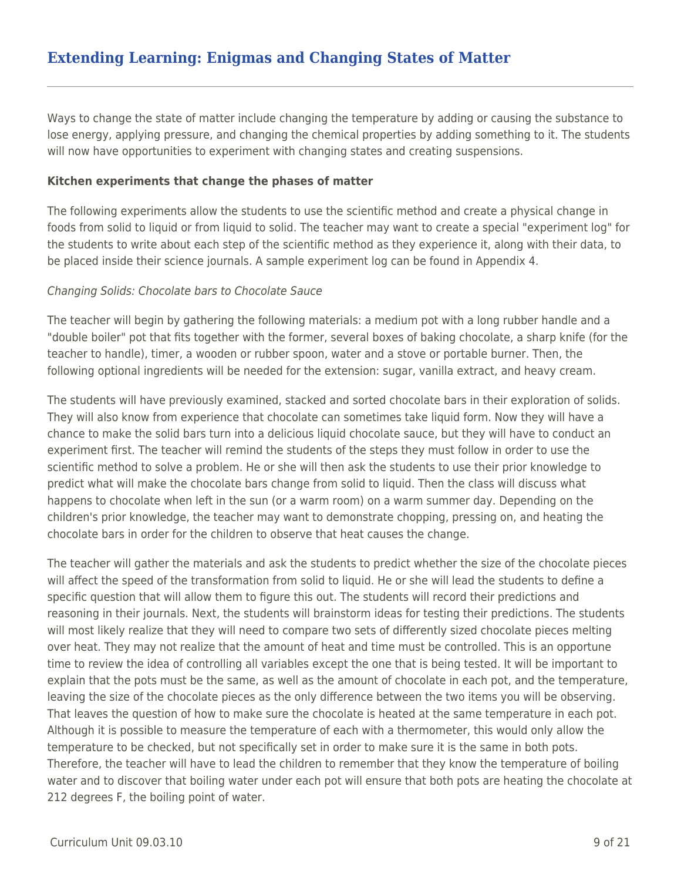# **Extending Learning: Enigmas and Changing States of Matter**

Ways to change the state of matter include changing the temperature by adding or causing the substance to lose energy, applying pressure, and changing the chemical properties by adding something to it. The students will now have opportunities to experiment with changing states and creating suspensions.

#### **Kitchen experiments that change the phases of matter**

The following experiments allow the students to use the scientific method and create a physical change in foods from solid to liquid or from liquid to solid. The teacher may want to create a special "experiment log" for the students to write about each step of the scientific method as they experience it, along with their data, to be placed inside their science journals. A sample experiment log can be found in Appendix 4.

#### Changing Solids: Chocolate bars to Chocolate Sauce

The teacher will begin by gathering the following materials: a medium pot with a long rubber handle and a "double boiler" pot that fits together with the former, several boxes of baking chocolate, a sharp knife (for the teacher to handle), timer, a wooden or rubber spoon, water and a stove or portable burner. Then, the following optional ingredients will be needed for the extension: sugar, vanilla extract, and heavy cream.

The students will have previously examined, stacked and sorted chocolate bars in their exploration of solids. They will also know from experience that chocolate can sometimes take liquid form. Now they will have a chance to make the solid bars turn into a delicious liquid chocolate sauce, but they will have to conduct an experiment first. The teacher will remind the students of the steps they must follow in order to use the scientific method to solve a problem. He or she will then ask the students to use their prior knowledge to predict what will make the chocolate bars change from solid to liquid. Then the class will discuss what happens to chocolate when left in the sun (or a warm room) on a warm summer day. Depending on the children's prior knowledge, the teacher may want to demonstrate chopping, pressing on, and heating the chocolate bars in order for the children to observe that heat causes the change.

The teacher will gather the materials and ask the students to predict whether the size of the chocolate pieces will affect the speed of the transformation from solid to liquid. He or she will lead the students to define a specific question that will allow them to figure this out. The students will record their predictions and reasoning in their journals. Next, the students will brainstorm ideas for testing their predictions. The students will most likely realize that they will need to compare two sets of differently sized chocolate pieces melting over heat. They may not realize that the amount of heat and time must be controlled. This is an opportune time to review the idea of controlling all variables except the one that is being tested. It will be important to explain that the pots must be the same, as well as the amount of chocolate in each pot, and the temperature, leaving the size of the chocolate pieces as the only difference between the two items you will be observing. That leaves the question of how to make sure the chocolate is heated at the same temperature in each pot. Although it is possible to measure the temperature of each with a thermometer, this would only allow the temperature to be checked, but not specifically set in order to make sure it is the same in both pots. Therefore, the teacher will have to lead the children to remember that they know the temperature of boiling water and to discover that boiling water under each pot will ensure that both pots are heating the chocolate at 212 degrees F, the boiling point of water.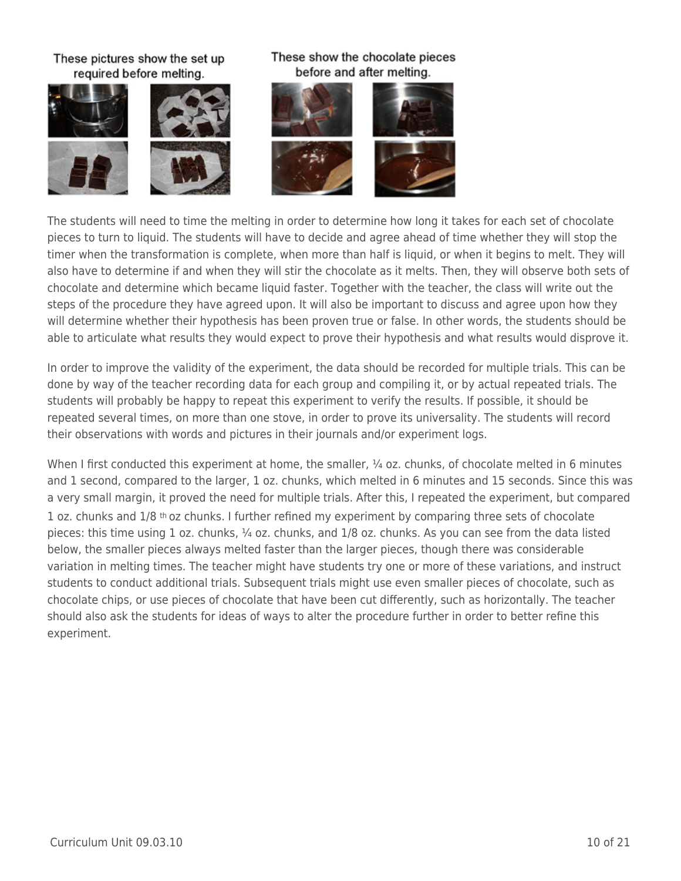#### These pictures show the set up required before melting.





#### These show the chocolate pieces before and after melting.



The students will need to time the melting in order to determine how long it takes for each set of chocolate pieces to turn to liquid. The students will have to decide and agree ahead of time whether they will stop the timer when the transformation is complete, when more than half is liquid, or when it begins to melt. They will also have to determine if and when they will stir the chocolate as it melts. Then, they will observe both sets of chocolate and determine which became liquid faster. Together with the teacher, the class will write out the steps of the procedure they have agreed upon. It will also be important to discuss and agree upon how they will determine whether their hypothesis has been proven true or false. In other words, the students should be able to articulate what results they would expect to prove their hypothesis and what results would disprove it.

In order to improve the validity of the experiment, the data should be recorded for multiple trials. This can be done by way of the teacher recording data for each group and compiling it, or by actual repeated trials. The students will probably be happy to repeat this experiment to verify the results. If possible, it should be repeated several times, on more than one stove, in order to prove its universality. The students will record their observations with words and pictures in their journals and/or experiment logs.

When I first conducted this experiment at home, the smaller,  $\frac{1}{4}$  oz. chunks, of chocolate melted in 6 minutes and 1 second, compared to the larger, 1 oz. chunks, which melted in 6 minutes and 15 seconds. Since this was a very small margin, it proved the need for multiple trials. After this, I repeated the experiment, but compared 1 oz. chunks and  $1/8$  th oz chunks. I further refined my experiment by comparing three sets of chocolate pieces: this time using 1 oz. chunks, 1/4 oz. chunks, and 1/8 oz. chunks. As you can see from the data listed below, the smaller pieces always melted faster than the larger pieces, though there was considerable variation in melting times. The teacher might have students try one or more of these variations, and instruct students to conduct additional trials. Subsequent trials might use even smaller pieces of chocolate, such as chocolate chips, or use pieces of chocolate that have been cut differently, such as horizontally. The teacher should also ask the students for ideas of ways to alter the procedure further in order to better refine this experiment.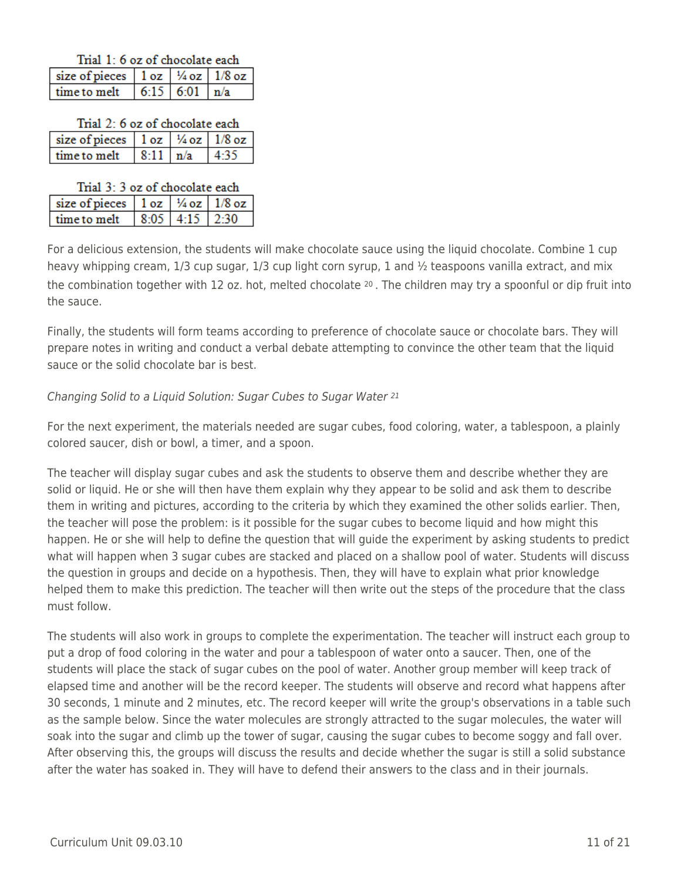|  |  | Trial 1: 6 oz of chocolate each |  |
|--|--|---------------------------------|--|
|--|--|---------------------------------|--|

| size of pieces $\vert 1oz \vert \frac{\frac{1}{2}}{2}$ oz $\vert 1/8$ oz |  |  |  |
|--------------------------------------------------------------------------|--|--|--|
| time to melt $\vert 6:15 \vert 6:01 \vert n/a$                           |  |  |  |

|  |  | Trial 2: 6 oz of chocolate each |  |
|--|--|---------------------------------|--|
|  |  |                                 |  |

| size of pieces $\vert$ 1 oz $\vert$ 1/4 oz $\vert$ 1/8 oz |  |       |
|-----------------------------------------------------------|--|-------|
| time to melt $  8:11   n/a$                               |  | 14.35 |

| Trial 3: 3 oz of chocolate each                |  |                  |  |  |
|------------------------------------------------|--|------------------|--|--|
| size of pieces $10z$ $\frac{1}{4}$ oz $1/8$ oz |  |                  |  |  |
| time to melt                                   |  | $8:05$ 4:15 2:30 |  |  |

For a delicious extension, the students will make chocolate sauce using the liquid chocolate. Combine 1 cup heavy whipping cream, 1/3 cup sugar, 1/3 cup light corn syrup, 1 and ½ teaspoons vanilla extract, and mix the combination together with 12 oz. hot, melted chocolate  $20$ . The children may try a spoonful or dip fruit into the sauce.

Finally, the students will form teams according to preference of chocolate sauce or chocolate bars. They will prepare notes in writing and conduct a verbal debate attempting to convince the other team that the liquid sauce or the solid chocolate bar is best.

### Changing Solid to a Liquid Solution: Sugar Cubes to Sugar Water <sup>21</sup>

For the next experiment, the materials needed are sugar cubes, food coloring, water, a tablespoon, a plainly colored saucer, dish or bowl, a timer, and a spoon.

The teacher will display sugar cubes and ask the students to observe them and describe whether they are solid or liquid. He or she will then have them explain why they appear to be solid and ask them to describe them in writing and pictures, according to the criteria by which they examined the other solids earlier. Then, the teacher will pose the problem: is it possible for the sugar cubes to become liquid and how might this happen. He or she will help to define the question that will guide the experiment by asking students to predict what will happen when 3 sugar cubes are stacked and placed on a shallow pool of water. Students will discuss the question in groups and decide on a hypothesis. Then, they will have to explain what prior knowledge helped them to make this prediction. The teacher will then write out the steps of the procedure that the class must follow.

The students will also work in groups to complete the experimentation. The teacher will instruct each group to put a drop of food coloring in the water and pour a tablespoon of water onto a saucer. Then, one of the students will place the stack of sugar cubes on the pool of water. Another group member will keep track of elapsed time and another will be the record keeper. The students will observe and record what happens after 30 seconds, 1 minute and 2 minutes, etc. The record keeper will write the group's observations in a table such as the sample below. Since the water molecules are strongly attracted to the sugar molecules, the water will soak into the sugar and climb up the tower of sugar, causing the sugar cubes to become soggy and fall over. After observing this, the groups will discuss the results and decide whether the sugar is still a solid substance after the water has soaked in. They will have to defend their answers to the class and in their journals.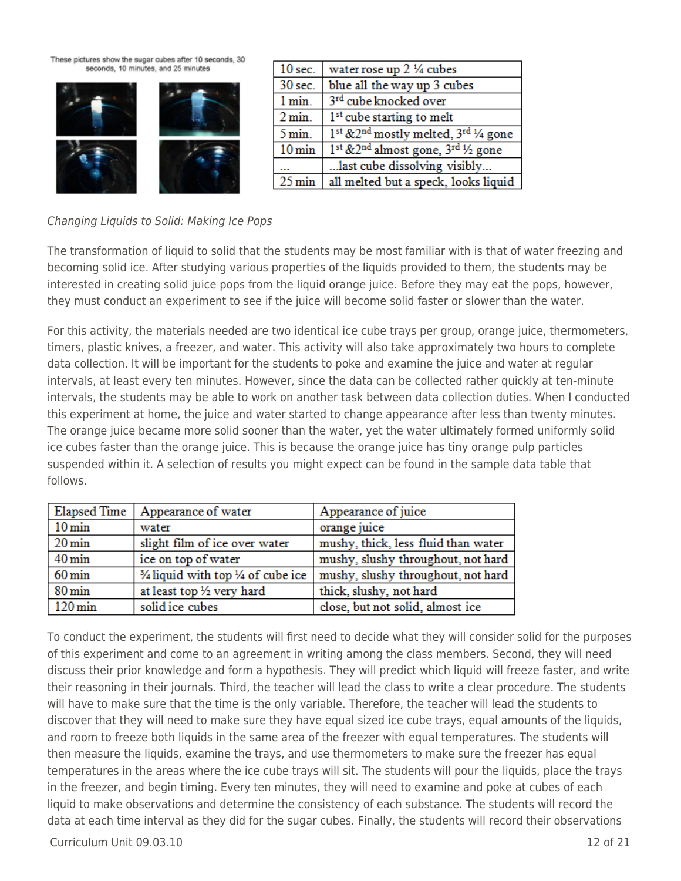These pictures show the sugar cubes after 10 seconds, 30 seconds, 10 minutes, and 25 minutes



| $10$ sec.           | water rose up 2 1/4 cubes                                                |
|---------------------|--------------------------------------------------------------------------|
| 30 sec.             | blue all the way up 3 cubes                                              |
| 1 min.              | 3rd cube knocked over                                                    |
| 2 min.              | 1 <sup>st</sup> cube starting to melt                                    |
| $5 \text{ min}$ .   | 1 <sup>st</sup> &2 <sup>nd</sup> mostly melted, 3 <sup>rd</sup> 1/4 gone |
| $10 \,\mathrm{min}$ | 1 <sup>st</sup> &2 <sup>nd</sup> almost gone, 3 <sup>rd</sup> 1/2 gone   |
|                     | last cube dissolving visibly                                             |
| $25 \text{ min}$    | all melted but a speck, looks liquid                                     |

### Changing Liquids to Solid: Making Ice Pops

The transformation of liquid to solid that the students may be most familiar with is that of water freezing and becoming solid ice. After studying various properties of the liquids provided to them, the students may be interested in creating solid juice pops from the liquid orange juice. Before they may eat the pops, however, they must conduct an experiment to see if the juice will become solid faster or slower than the water.

For this activity, the materials needed are two identical ice cube trays per group, orange juice, thermometers, timers, plastic knives, a freezer, and water. This activity will also take approximately two hours to complete data collection. It will be important for the students to poke and examine the juice and water at regular intervals, at least every ten minutes. However, since the data can be collected rather quickly at ten-minute intervals, the students may be able to work on another task between data collection duties. When I conducted this experiment at home, the juice and water started to change appearance after less than twenty minutes. The orange juice became more solid sooner than the water, yet the water ultimately formed uniformly solid ice cubes faster than the orange juice. This is because the orange juice has tiny orange pulp particles suspended within it. A selection of results you might expect can be found in the sample data table that follows.

| <b>Elapsed Time</b>  | Appearance of water                                     | Appearance of juice                 |
|----------------------|---------------------------------------------------------|-------------------------------------|
| $10 \,\mathrm{min}$  | water                                                   | orange juice                        |
| $20 \,\mathrm{min}$  | slight film of ice over water                           | mushy, thick, less fluid than water |
| $40 \,\mathrm{min}$  | ice on top of water                                     | mushy, slushy throughout, not hard  |
| $60 \,\mathrm{min}$  | $\frac{3}{4}$ liquid with top $\frac{1}{4}$ of cube ice | mushy, slushy throughout, not hard  |
| $80 \,\mathrm{min}$  | at least top 1/2 very hard                              | thick, slushy, not hard             |
| $120 \,\mathrm{min}$ | solid ice cubes                                         | close, but not solid, almost ice    |

To conduct the experiment, the students will first need to decide what they will consider solid for the purposes of this experiment and come to an agreement in writing among the class members. Second, they will need discuss their prior knowledge and form a hypothesis. They will predict which liquid will freeze faster, and write their reasoning in their journals. Third, the teacher will lead the class to write a clear procedure. The students will have to make sure that the time is the only variable. Therefore, the teacher will lead the students to discover that they will need to make sure they have equal sized ice cube trays, equal amounts of the liquids, and room to freeze both liquids in the same area of the freezer with equal temperatures. The students will then measure the liquids, examine the trays, and use thermometers to make sure the freezer has equal temperatures in the areas where the ice cube trays will sit. The students will pour the liquids, place the trays in the freezer, and begin timing. Every ten minutes, they will need to examine and poke at cubes of each liquid to make observations and determine the consistency of each substance. The students will record the data at each time interval as they did for the sugar cubes. Finally, the students will record their observations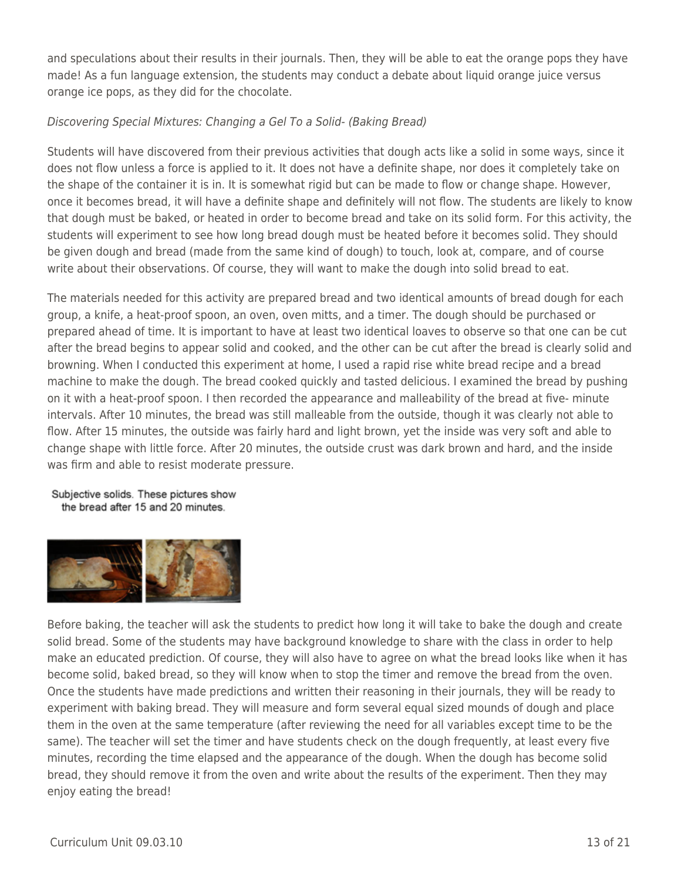and speculations about their results in their journals. Then, they will be able to eat the orange pops they have made! As a fun language extension, the students may conduct a debate about liquid orange juice versus orange ice pops, as they did for the chocolate.

### Discovering Special Mixtures: Changing a Gel To a Solid- (Baking Bread)

Students will have discovered from their previous activities that dough acts like a solid in some ways, since it does not flow unless a force is applied to it. It does not have a definite shape, nor does it completely take on the shape of the container it is in. It is somewhat rigid but can be made to flow or change shape. However, once it becomes bread, it will have a definite shape and definitely will not flow. The students are likely to know that dough must be baked, or heated in order to become bread and take on its solid form. For this activity, the students will experiment to see how long bread dough must be heated before it becomes solid. They should be given dough and bread (made from the same kind of dough) to touch, look at, compare, and of course write about their observations. Of course, they will want to make the dough into solid bread to eat.

The materials needed for this activity are prepared bread and two identical amounts of bread dough for each group, a knife, a heat-proof spoon, an oven, oven mitts, and a timer. The dough should be purchased or prepared ahead of time. It is important to have at least two identical loaves to observe so that one can be cut after the bread begins to appear solid and cooked, and the other can be cut after the bread is clearly solid and browning. When I conducted this experiment at home, I used a rapid rise white bread recipe and a bread machine to make the dough. The bread cooked quickly and tasted delicious. I examined the bread by pushing on it with a heat-proof spoon. I then recorded the appearance and malleability of the bread at five- minute intervals. After 10 minutes, the bread was still malleable from the outside, though it was clearly not able to flow. After 15 minutes, the outside was fairly hard and light brown, yet the inside was very soft and able to change shape with little force. After 20 minutes, the outside crust was dark brown and hard, and the inside was firm and able to resist moderate pressure.

#### Subjective solids. These pictures show the bread after 15 and 20 minutes.



Before baking, the teacher will ask the students to predict how long it will take to bake the dough and create solid bread. Some of the students may have background knowledge to share with the class in order to help make an educated prediction. Of course, they will also have to agree on what the bread looks like when it has become solid, baked bread, so they will know when to stop the timer and remove the bread from the oven. Once the students have made predictions and written their reasoning in their journals, they will be ready to experiment with baking bread. They will measure and form several equal sized mounds of dough and place them in the oven at the same temperature (after reviewing the need for all variables except time to be the same). The teacher will set the timer and have students check on the dough frequently, at least every five minutes, recording the time elapsed and the appearance of the dough. When the dough has become solid bread, they should remove it from the oven and write about the results of the experiment. Then they may enjoy eating the bread!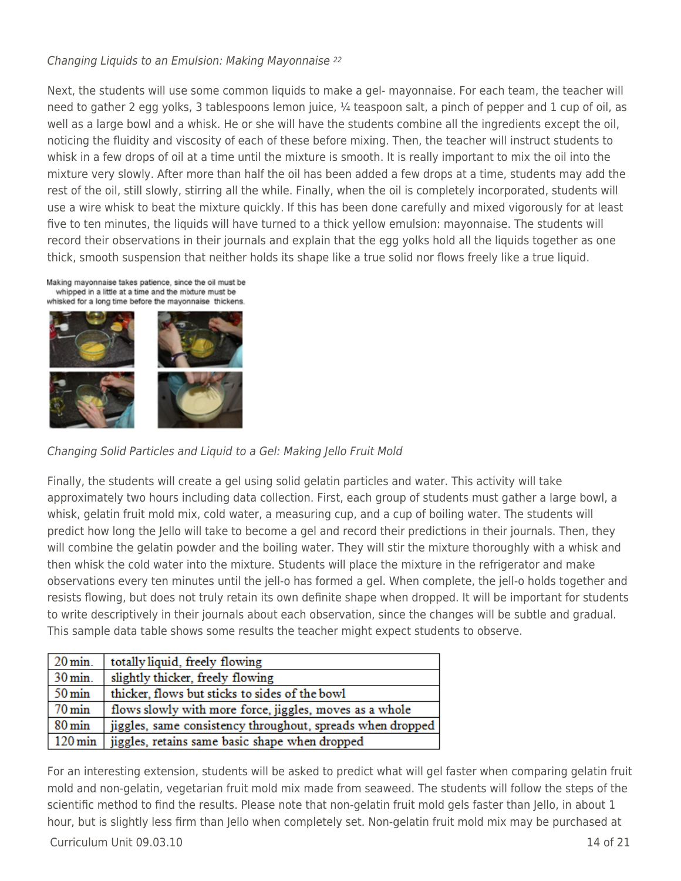#### Changing Liquids to an Emulsion: Making Mayonnaise <sup>22</sup>

Next, the students will use some common liquids to make a gel- mayonnaise. For each team, the teacher will need to gather 2 egg yolks, 3 tablespoons lemon juice, ¼ teaspoon salt, a pinch of pepper and 1 cup of oil, as well as a large bowl and a whisk. He or she will have the students combine all the ingredients except the oil, noticing the fluidity and viscosity of each of these before mixing. Then, the teacher will instruct students to whisk in a few drops of oil at a time until the mixture is smooth. It is really important to mix the oil into the mixture very slowly. After more than half the oil has been added a few drops at a time, students may add the rest of the oil, still slowly, stirring all the while. Finally, when the oil is completely incorporated, students will use a wire whisk to beat the mixture quickly. If this has been done carefully and mixed vigorously for at least five to ten minutes, the liquids will have turned to a thick yellow emulsion: mayonnaise. The students will record their observations in their journals and explain that the egg yolks hold all the liquids together as one thick, smooth suspension that neither holds its shape like a true solid nor flows freely like a true liquid.



Changing Solid Particles and Liquid to a Gel: Making Jello Fruit Mold

Finally, the students will create a gel using solid gelatin particles and water. This activity will take approximately two hours including data collection. First, each group of students must gather a large bowl, a whisk, gelatin fruit mold mix, cold water, a measuring cup, and a cup of boiling water. The students will predict how long the Jello will take to become a gel and record their predictions in their journals. Then, they will combine the gelatin powder and the boiling water. They will stir the mixture thoroughly with a whisk and then whisk the cold water into the mixture. Students will place the mixture in the refrigerator and make observations every ten minutes until the jell-o has formed a gel. When complete, the jell-o holds together and resists flowing, but does not truly retain its own definite shape when dropped. It will be important for students to write descriptively in their journals about each observation, since the changes will be subtle and gradual. This sample data table shows some results the teacher might expect students to observe.

| $20 \,\mathrm{min}$ . | totally liquid, freely flowing                             |
|-----------------------|------------------------------------------------------------|
| $30 \,\mathrm{min}$ . | slightly thicker, freely flowing                           |
| $50 \,\mathrm{min}$   | thicker, flows but sticks to sides of the bowl             |
| $70 \,\mathrm{min}$   | flows slowly with more force, jiggles, moves as a whole    |
| $80 \,\mathrm{min}$   | jiggles, same consistency throughout, spreads when dropped |
| $120 \,\mathrm{min}$  | jiggles, retains same basic shape when dropped             |

For an interesting extension, students will be asked to predict what will gel faster when comparing gelatin fruit mold and non-gelatin, vegetarian fruit mold mix made from seaweed. The students will follow the steps of the scientific method to find the results. Please note that non-gelatin fruit mold gels faster than Jello, in about 1 hour, but is slightly less firm than Jello when completely set. Non-gelatin fruit mold mix may be purchased at

#### $C$ urriculum Unit 09.03.10  $\qquad$  14 of 21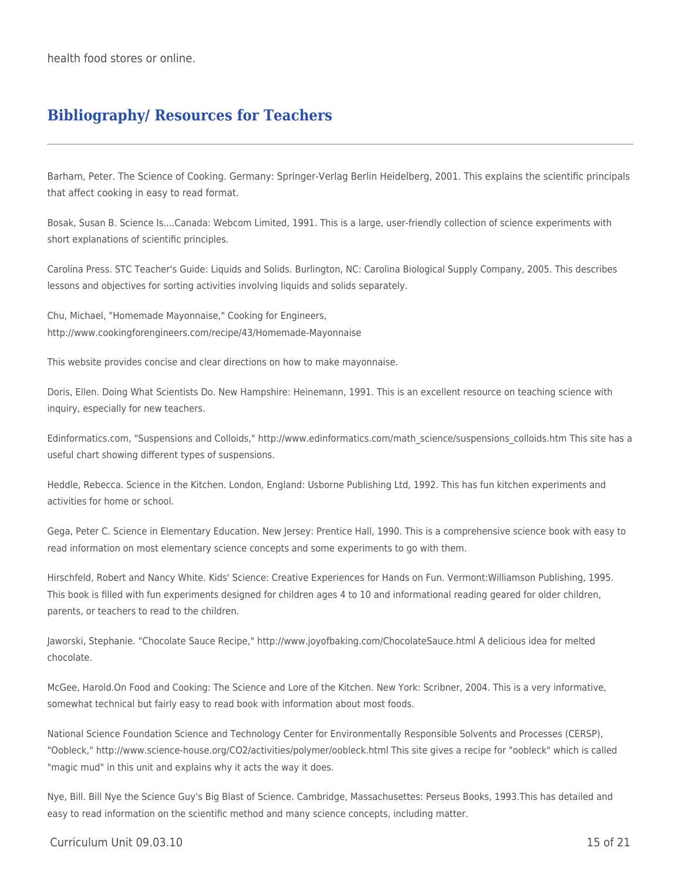health food stores or online.

## **Bibliography/ Resources for Teachers**

Barham, Peter. The Science of Cooking. Germany: Springer-Verlag Berlin Heidelberg, 2001. This explains the scientific principals that affect cooking in easy to read format.

Bosak, Susan B. Science Is....Canada: Webcom Limited, 1991. This is a large, user-friendly collection of science experiments with short explanations of scientific principles.

Carolina Press. STC Teacher's Guide: Liquids and Solids. Burlington, NC: Carolina Biological Supply Company, 2005. This describes lessons and objectives for sorting activities involving liquids and solids separately.

Chu, Michael, "Homemade Mayonnaise," Cooking for Engineers, http://www.cookingforengineers.com/recipe/43/Homemade-Mayonnaise

This website provides concise and clear directions on how to make mayonnaise.

Doris, Ellen. Doing What Scientists Do. New Hampshire: Heinemann, 1991. This is an excellent resource on teaching science with inquiry, especially for new teachers.

Edinformatics.com, "Suspensions and Colloids," http://www.edinformatics.com/math\_science/suspensions\_colloids.htm This site has a useful chart showing different types of suspensions.

Heddle, Rebecca. Science in the Kitchen. London, England: Usborne Publishing Ltd, 1992. This has fun kitchen experiments and activities for home or school.

Gega, Peter C. Science in Elementary Education. New Jersey: Prentice Hall, 1990. This is a comprehensive science book with easy to read information on most elementary science concepts and some experiments to go with them.

Hirschfeld, Robert and Nancy White. Kids' Science: Creative Experiences for Hands on Fun. Vermont:Williamson Publishing, 1995. This book is filled with fun experiments designed for children ages 4 to 10 and informational reading geared for older children, parents, or teachers to read to the children.

Jaworski, Stephanie. "Chocolate Sauce Recipe," http://www.joyofbaking.com/ChocolateSauce.html A delicious idea for melted chocolate.

McGee, Harold.On Food and Cooking: The Science and Lore of the Kitchen. New York: Scribner, 2004. This is a very informative, somewhat technical but fairly easy to read book with information about most foods.

National Science Foundation Science and Technology Center for Environmentally Responsible Solvents and Processes (CERSP), "Oobleck," http://www.science-house.org/CO2/activities/polymer/oobleck.html This site gives a recipe for "oobleck" which is called "magic mud" in this unit and explains why it acts the way it does.

Nye, Bill. Bill Nye the Science Guy's Big Blast of Science. Cambridge, Massachusettes: Perseus Books, 1993.This has detailed and easy to read information on the scientific method and many science concepts, including matter.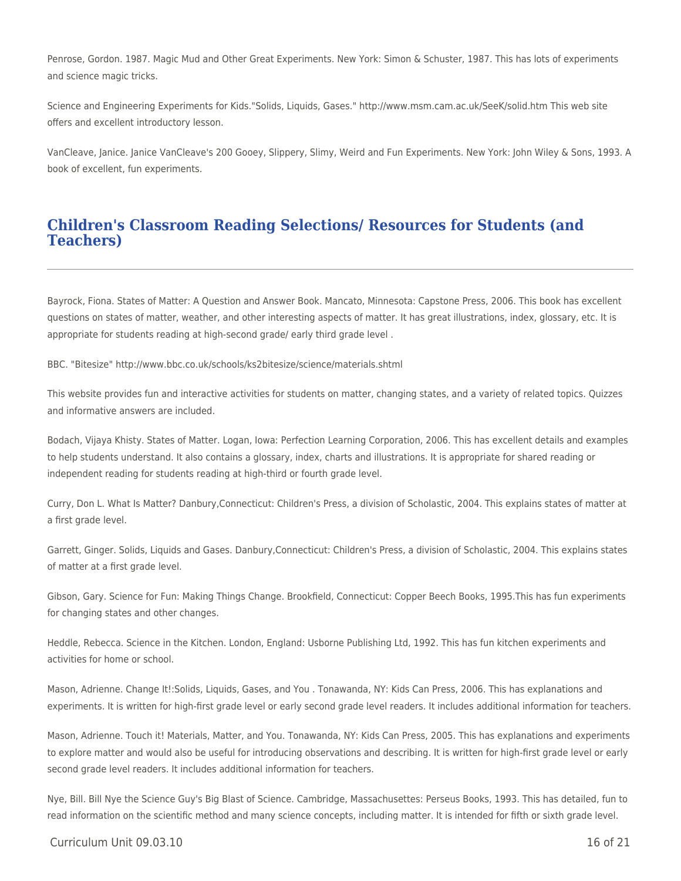Penrose, Gordon. 1987. Magic Mud and Other Great Experiments. New York: Simon & Schuster, 1987. This has lots of experiments and science magic tricks.

Science and Engineering Experiments for Kids."Solids, Liquids, Gases." http://www.msm.cam.ac.uk/SeeK/solid.htm This web site offers and excellent introductory lesson.

VanCleave, Janice. Janice VanCleave's 200 Gooey, Slippery, Slimy, Weird and Fun Experiments. New York: John Wiley & Sons, 1993. A book of excellent, fun experiments.

### **Children's Classroom Reading Selections/ Resources for Students (and Teachers)**

Bayrock, Fiona. States of Matter: A Question and Answer Book. Mancato, Minnesota: Capstone Press, 2006. This book has excellent questions on states of matter, weather, and other interesting aspects of matter. It has great illustrations, index, glossary, etc. It is appropriate for students reading at high-second grade/ early third grade level .

BBC. "Bitesize" http://www.bbc.co.uk/schools/ks2bitesize/science/materials.shtml

This website provides fun and interactive activities for students on matter, changing states, and a variety of related topics. Quizzes and informative answers are included.

Bodach, Vijaya Khisty. States of Matter. Logan, Iowa: Perfection Learning Corporation, 2006. This has excellent details and examples to help students understand. It also contains a glossary, index, charts and illustrations. It is appropriate for shared reading or independent reading for students reading at high-third or fourth grade level.

Curry, Don L. What Is Matter? Danbury,Connecticut: Children's Press, a division of Scholastic, 2004. This explains states of matter at a first grade level.

Garrett, Ginger. Solids, Liquids and Gases. Danbury,Connecticut: Children's Press, a division of Scholastic, 2004. This explains states of matter at a first grade level.

Gibson, Gary. Science for Fun: Making Things Change. Brookfield, Connecticut: Copper Beech Books, 1995.This has fun experiments for changing states and other changes.

Heddle, Rebecca. Science in the Kitchen. London, England: Usborne Publishing Ltd, 1992. This has fun kitchen experiments and activities for home or school.

Mason, Adrienne. Change It!:Solids, Liquids, Gases, and You . Tonawanda, NY: Kids Can Press, 2006. This has explanations and experiments. It is written for high-first grade level or early second grade level readers. It includes additional information for teachers.

Mason, Adrienne. Touch it! Materials, Matter, and You. Tonawanda, NY: Kids Can Press, 2005. This has explanations and experiments to explore matter and would also be useful for introducing observations and describing. It is written for high-first grade level or early second grade level readers. It includes additional information for teachers.

Nye, Bill. Bill Nye the Science Guy's Big Blast of Science. Cambridge, Massachusettes: Perseus Books, 1993. This has detailed, fun to read information on the scientific method and many science concepts, including matter. It is intended for fifth or sixth grade level.

#### $C$ urriculum Unit 09.03.10  $\qquad$  16 of 21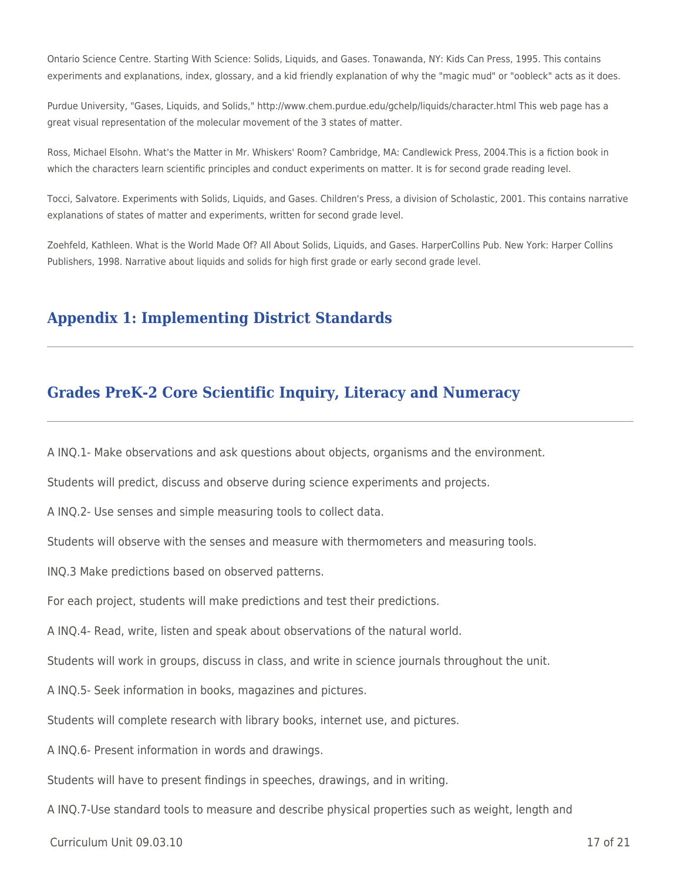Ontario Science Centre. Starting With Science: Solids, Liquids, and Gases. Tonawanda, NY: Kids Can Press, 1995. This contains experiments and explanations, index, glossary, and a kid friendly explanation of why the "magic mud" or "oobleck" acts as it does.

Purdue University, "Gases, Liquids, and Solids," http://www.chem.purdue.edu/gchelp/liquids/character.html This web page has a great visual representation of the molecular movement of the 3 states of matter.

Ross, Michael Elsohn. What's the Matter in Mr. Whiskers' Room? Cambridge, MA: Candlewick Press, 2004.This is a fiction book in which the characters learn scientific principles and conduct experiments on matter. It is for second grade reading level.

Tocci, Salvatore. Experiments with Solids, Liquids, and Gases. Children's Press, a division of Scholastic, 2001. This contains narrative explanations of states of matter and experiments, written for second grade level.

Zoehfeld, Kathleen. What is the World Made Of? All About Solids, Liquids, and Gases. HarperCollins Pub. New York: Harper Collins Publishers, 1998. Narrative about liquids and solids for high first grade or early second grade level.

### **Appendix 1: Implementing District Standards**

### **Grades PreK-2 Core Scientific Inquiry, Literacy and Numeracy**

A INQ.1- Make observations and ask questions about objects, organisms and the environment.

Students will predict, discuss and observe during science experiments and projects.

A INQ.2- Use senses and simple measuring tools to collect data.

Students will observe with the senses and measure with thermometers and measuring tools.

INQ.3 Make predictions based on observed patterns.

For each project, students will make predictions and test their predictions.

A INQ.4- Read, write, listen and speak about observations of the natural world.

Students will work in groups, discuss in class, and write in science journals throughout the unit.

A INQ.5- Seek information in books, magazines and pictures.

Students will complete research with library books, internet use, and pictures.

A INQ.6- Present information in words and drawings.

Students will have to present findings in speeches, drawings, and in writing.

A INQ.7-Use standard tools to measure and describe physical properties such as weight, length and

 $C$ urriculum Unit 09.03.10 17 of 21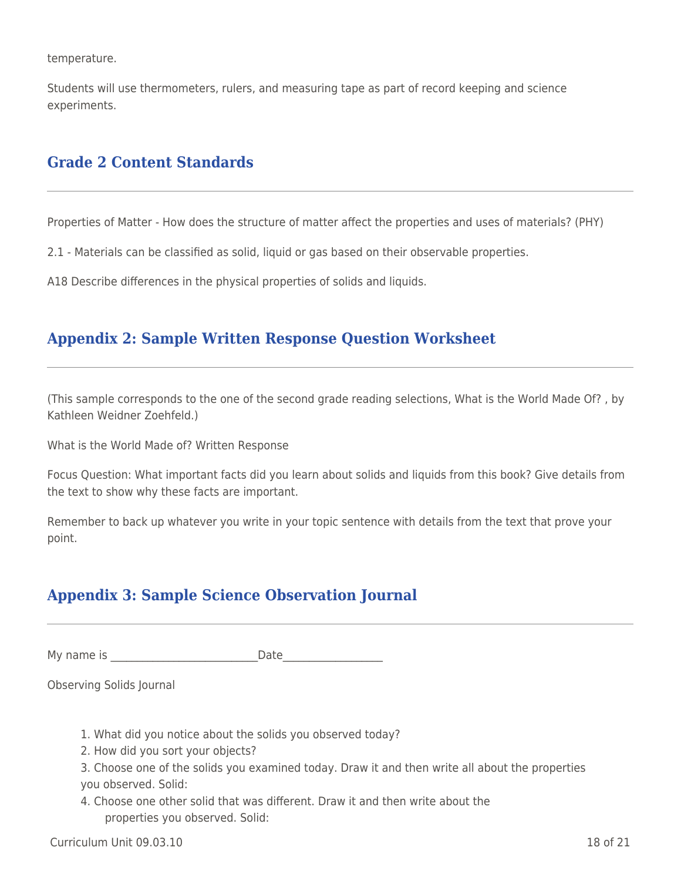temperature.

Students will use thermometers, rulers, and measuring tape as part of record keeping and science experiments.

## **Grade 2 Content Standards**

Properties of Matter - How does the structure of matter affect the properties and uses of materials? (PHY)

2.1 - Materials can be classified as solid, liquid or gas based on their observable properties.

A18 Describe differences in the physical properties of solids and liquids.

## **Appendix 2: Sample Written Response Question Worksheet**

(This sample corresponds to the one of the second grade reading selections, What is the World Made Of? , by Kathleen Weidner Zoehfeld.)

What is the World Made of? Written Response

Focus Question: What important facts did you learn about solids and liquids from this book? Give details from the text to show why these facts are important.

Remember to back up whatever you write in your topic sentence with details from the text that prove your point.

# **Appendix 3: Sample Science Observation Journal**

My name is **Example 20** and the Date

Observing Solids Journal

- 1. What did you notice about the solids you observed today?
- 2. How did you sort your objects?
- 3. Choose one of the solids you examined today. Draw it and then write all about the properties you observed. Solid:
- 4. Choose one other solid that was different. Draw it and then write about the properties you observed. Solid: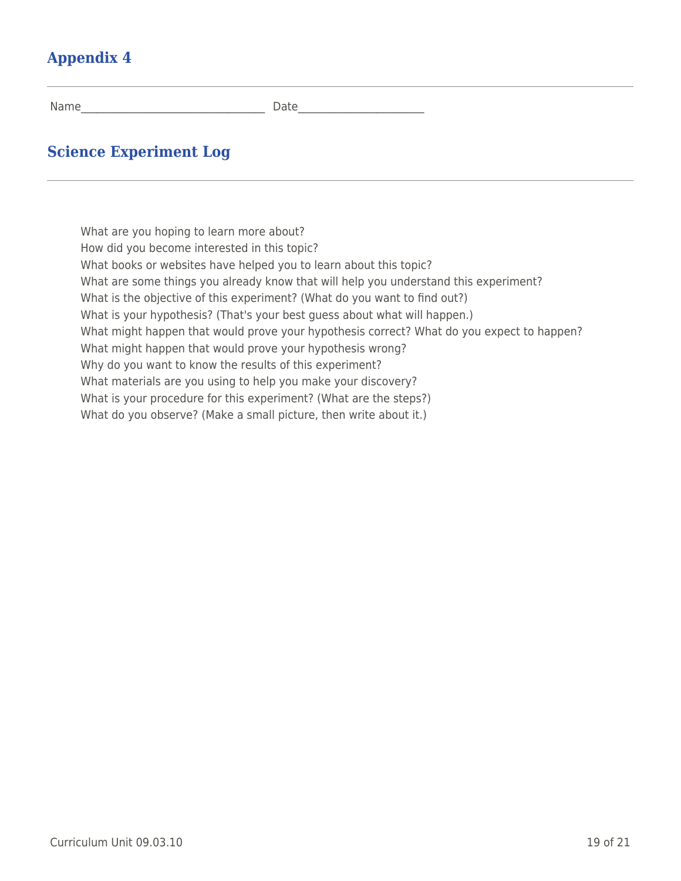# **Appendix 4**

Name\_\_\_\_\_\_\_\_\_\_\_\_\_\_\_\_\_\_\_\_\_\_\_\_\_\_\_\_\_\_\_\_\_\_\_ Date\_\_\_\_\_\_\_\_\_\_\_\_\_\_\_\_\_\_\_\_\_\_\_\_

## **Science Experiment Log**

What are you hoping to learn more about? How did you become interested in this topic? What books or websites have helped you to learn about this topic? What are some things you already know that will help you understand this experiment? What is the objective of this experiment? (What do you want to find out?) What is your hypothesis? (That's your best quess about what will happen.) What might happen that would prove your hypothesis correct? What do you expect to happen? What might happen that would prove your hypothesis wrong? Why do you want to know the results of this experiment? What materials are you using to help you make your discovery? What is your procedure for this experiment? (What are the steps?) What do you observe? (Make a small picture, then write about it.)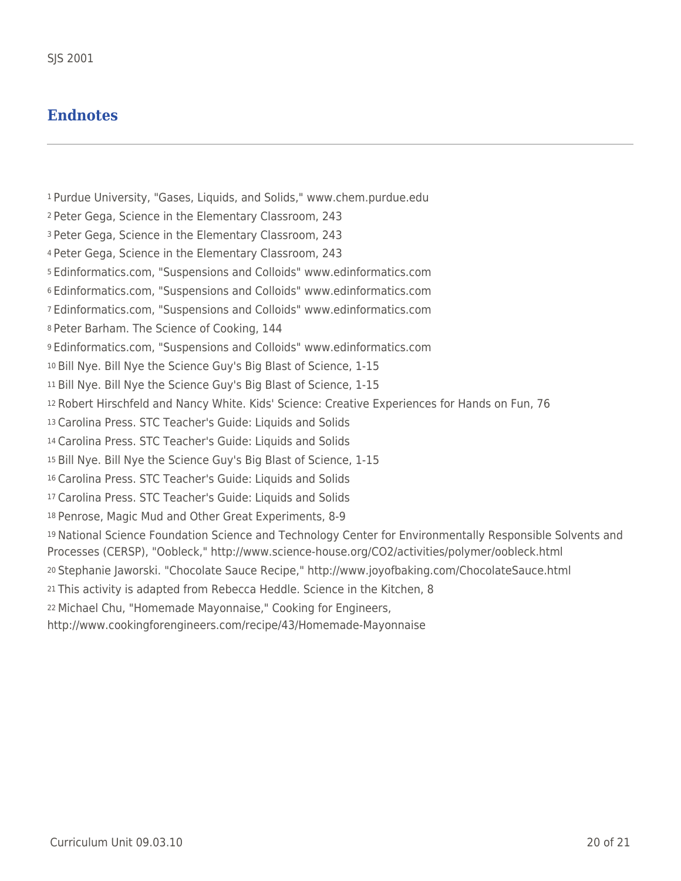### **Endnotes**

Purdue University, "Gases, Liquids, and Solids," www.chem.purdue.edu Peter Gega, Science in the Elementary Classroom, 243 Peter Gega, Science in the Elementary Classroom, 243 Peter Gega, Science in the Elementary Classroom, 243 Edinformatics.com, "Suspensions and Colloids" www.edinformatics.com Edinformatics.com, "Suspensions and Colloids" www.edinformatics.com Edinformatics.com, "Suspensions and Colloids" www.edinformatics.com Peter Barham. The Science of Cooking, 144 Edinformatics.com, "Suspensions and Colloids" www.edinformatics.com Bill Nye. Bill Nye the Science Guy's Big Blast of Science, 1-15 Bill Nye. Bill Nye the Science Guy's Big Blast of Science, 1-15 Robert Hirschfeld and Nancy White. Kids' Science: Creative Experiences for Hands on Fun, 76 Carolina Press. STC Teacher's Guide: Liquids and Solids Carolina Press. STC Teacher's Guide: Liquids and Solids Bill Nye. Bill Nye the Science Guy's Big Blast of Science, 1-15 Carolina Press. STC Teacher's Guide: Liquids and Solids Carolina Press. STC Teacher's Guide: Liquids and Solids Penrose, Magic Mud and Other Great Experiments, 8-9 National Science Foundation Science and Technology Center for Environmentally Responsible Solvents and Processes (CERSP), "Oobleck," http://www.science-house.org/CO2/activities/polymer/oobleck.html Stephanie Jaworski. "Chocolate Sauce Recipe," http://www.joyofbaking.com/ChocolateSauce.html This activity is adapted from Rebecca Heddle. Science in the Kitchen, 8 Michael Chu, "Homemade Mayonnaise," Cooking for Engineers, http://www.cookingforengineers.com/recipe/43/Homemade-Mayonnaise